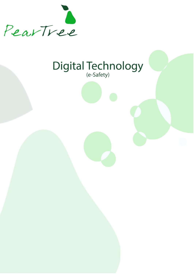

# Digital Technology

- 
- - - - - -
					-
					-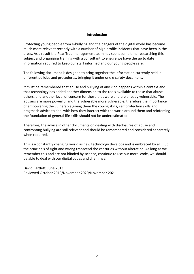#### **Introduction**

Protecting young people from e-bullying and the dangers of the digital world has become much more relevant recently with a number of high profile incidents that have been in the press. As a result the Pear Tree management team has spent some time researching this subject and organising training with a consultant to ensure we have the up to date information required to keep our staff informed and our young people safe.

The following document is designed to bring together the information currently held in different policies and procedures, bringing it under one e-safety document.

It must be remembered that abuse and bullying of any kind happens within a context and that technology has added another dimension to the tools available to those that abuse others, and another level of concern for those that were and are already vulnerable. The abusers are more powerful and the vulnerable more vulnerable, therefore the importance of empowering the vulnerable giving them the coping skills, self protection skills and pragmatic advice to deal with how they interact with the world around them and reinforcing the foundation of general life skills should not be underestimated.

Therefore, the advice in other documents on dealing with disclosures of abuse and confronting bullying are still relevant and should be remembered and considered separately when required.

This is a constantly changing world as new technology develops and is embraced by all. But the principals of right and wrong transcend the centuries without alteration. As long as we remember this and are not blinded by science, continue to use our moral code, we should be able to deal with our digital codes and dilemmas!

David Bartlett, June 2013. Reviewed October 2019/November 2020/November 2021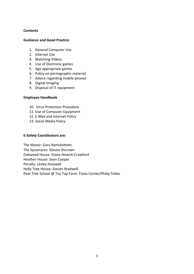# **Contents**

#### **Guidance and Good Practice**

- 1. General Computer Use
- 2. Internet Use
- 3. Watching Videos
- 4. Use of Electronic games
- 5. Age appropriate games
- 6. Policy on pornographic material
- 7. Advice regarding mobile phones
- 8. Digital Imaging
- 9. Disposal of IT equipment

#### **Employee Handbook**

- 10. Virus Protection Procedure
- 11. Use of Computer Equipment
- 12. E-Mail and Internet Policy
- 13. Social Media Policy

#### **E-Safety Coordinators are:**

The Manor: Gary Ramsbottom The Sycamores: Steven Sturman Oakwood House: Diana Hewick-Crawford Heather House: Sean Cooper Penally: Lesley Holywell Holly Tree House: Steven Bradwell Pear Tree School @ Toy Top Farm: Fiona Corner/Philip Tebbs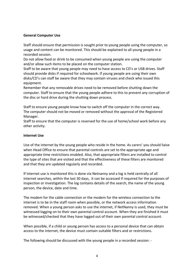# **General Computer Use**

Staff should ensure that permission is sought prior to young people using the computer, so usage and content can be monitored. This should be explained to all young people in a recorded session.

Do not allow food or drink to be consumed when young people are using the computer and/or allow such items to be placed on the computer station.

Staff to be aware that young people may need to have access to CD's or USB drives. Staff should provide disks if required for schoolwork. If young people are using their own disks/CD's can staff be aware that they may contain viruses and check who issued this equipment.

Remember that any removable drives need to be removed before shutting down the computer. Staff to ensure that the young people adhere to this to prevent any corruption of the disc or hard drive during the shutting down process.

Staff to ensure young people know how to switch off the computer in the correct way. The computer should not be moved or removed without the approval of the Registered Manager.

Staff to ensure that the computer is reserved for the use of home/school work before any other activity.

## **Internet Use**

Use of the internet by the young people who reside in the home. As carers' you should liaise when Head Office to ensure that parental controls are set to the appropriate age and appropriate time restrictions enabled. Also, that appropriate filters are installed to control the type of sites that are visited and that the effectiveness of these filters are monitored and that they are updated regularly and recorded.

If Internet use is monitored this is done via Netnanny and a log is held centrally of all internet searches, within the last 30 days, it can be accessed if required for the purposes of inspection or investigation. The log contains details of the search, the name of the young person, the device, date and time.

The modem for the cable connection or the modem for the wireless connection to the internet is to be in the staff room when possible, or the network access information removed. When a young person asks to use the internet, if NetNanny is used, they must be witnessed logging on to their own parental control account. When they are finished it must be witnessed/checked that they have logged out of their own parental control account.

When possible, if a child or young person has access to a personal device that can obtain access to the internet, the device must contain suitable filters and or restrictions.

The following should be discussed with the young people in a recorded session: -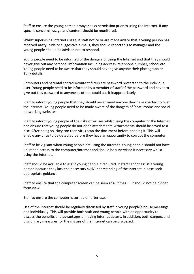Staff to ensure the young person always seeks permission prior to using the Internet. If any specific concerns, usage and content should be monitored.

Whilst supervising Internet usage, if staff notice or are made aware that a young person has received nasty, rude or suggestive e-mails, they should report this to manager and the young people should be advised not to respond.

Young people need to be informed of the dangers of using the Internet and that they should never give out any personal information including address, telephone number, school etc. Young people need to be aware that they should never give anyone their photograph or Bank details.

Computers and parental controls/content filters are password protected to the individual user. Young people need to be informed by a member of staff of the password and never to give out this password to anyone as others could use it inappropriately.

Staff to inform young people that they should never meet anyone they have chatted to over the Internet. Young people need to be made aware of the dangers of 'chat' rooms and social networking websites.

Staff to inform young people of the risks of viruses whilst using the computer or the Internet and ensure that young people do not open attachments. Attachments should be saved to a disc. After doing so, they can then virus scan the document before opening it. This will enable any virus to be detected before they have an opportunity to corrupt the computer.

Staff to be vigilant when young people are using the Internet. Young people should not have unlimited access to the computer/Internet and should be supervised if necessary whilst using the Internet.

Staff should be available to assist young people if required. If staff cannot assist a young person because they lack the necessary skill/understanding of the Internet, please seek appropriate guidance.

Staff to ensure that the computer screen can be seen at all times — it should not be hidden from view.

Staff to ensure the computer is turned off after use.

Use of the Internet should be regularly discussed by staff in young people's house meetings and individually. This will provide both staff and young people with an opportunity to discuss the benefits and advantages of having Internet access. In addition, both dangers and disciplinary measures for the misuse of the Internet can be discussed.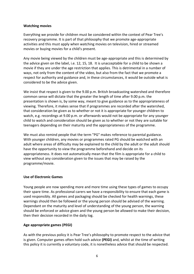# **Watching movies**

Everything we provide for children must be considered within the context of Pear Tree's recovery programme. It is part of that philosophy that we promote age-appropriate activities and this must apply when watching movies on television, hired or streamed movies or buying movies for a child's present.

Any movie being viewed by the children must be age-appropriate and this is determined by the advice given on the label, i.e. 12, 15, 18. It is unacceptable for a child to be shown a movie if they are under the age restriction that applies. This is detrimental in a number of ways, not only from the content of the video, but also from the fact that we promote a respect for authority and guidance and, in these circumstances, it would be outside what is considered to be the advice given.

We insist that respect is given to the 9.00 p.m. British broadcasting watershed and therefore common sense will dictate that the greater the length of time after 9.00 p.m. the presentation is shown is, by some way, meant to give guidance as to the appropriateness of viewing. Therefore, it makes sense that if programmes are recorded after the watershed, that consideration be given as to whether or not it is appropriate for younger children to watch, e.g. recordings at 9.00 p.m. or afterwards would not be appropriate for any younger child to watch and consideration should be given as to whether or not they are suitable for teenagers depending on their maturity and the appropriateness of the programme.

We must also remind people that the term "PG" makes reference to parental guidance. With younger children, any movies or programmes rated PG should be watched with an adult where areas of difficulty may be explained to the child by the adult or the adult should have the opportunity to view the programme beforehand and decide on its appropriateness. It does not automatically mean that the film is appropriate for a child to view without any consideration given to the issues that may be raised by the programme/movie.

# **Use of Electronic Games**

Young people are now spending more and more time using these types of games to occupy their spare time. As professional carers we have a responsibility to ensure that each game is used responsibly. All games and packaging should be checked for health warnings, these warnings should then be followed or the young person should be advised of the warning. Dependant on the maturity and level of understanding of the young person, the warning should be enforced or advice given and the young person be allowed to make their decision, then their decision recorded in the daily log.

# **Age appropriate games (PEGI)**

As with the previous policy it is Pear Tree's philosophy to promote respect to the advice that is given. Computer games often hold such advice **(PEGI)** and, whilst at the time of writing this policy it is currently a voluntary code, it is nonetheless advice that should be respected.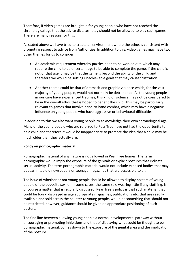Therefore, if video games are brought in for young people who have not reached the chronological age that the advice dictates, they should not be allowed to play such games. There are many reasons for this.

As stated above we have tried to create an environment where the ethos is consistent with promoting respect to advice from Authorities. In addition to this, video games may have two other themes for us to consider.

- An academic requirement whereby puzzles need to be worked out, which may require the child to be of certain age to be able to complete the game. If the child is not of that age it may be that the game is beyond the ability of the child and therefore we would be setting unachievable goals that may cause frustration.
- Another theme could be that of dramatic and graphic violence which, for the vast majority of young people, would not normally be detrimental. As the young people in our care have experienced traumas, this kind of violence may not be considered to be in the overall ethos that is hoped to benefit the child. This may be particularly relevant to games that involve hand-to-hand combat, which may have a negative influence on young people who have aggressive or behavioural difficulties.

In addition to this we also want young people to acknowledge their own chronological age. Many of the young people who are referred to Pear Tree have not had the opportunity to be a child and therefore it would be inappropriate to promote the idea that a child may be much older than they actually are.

# **Policy on pornographic material**

Pornographic material of any nature is not allowed in Pear Tree homes. The term pornographic would imply the exposure of the genitals or explicit postures that indicate sexual activity. The term pornographic material would not include exposed bodies that may appear in tabloid newspapers or teenage magazines that are accessible to all.

The issue of whether or not young people should be allowed to display posters of young people of the opposite sex, or in some cases, the same sex, wearing little if any clothing, is of course a matter that is regularly discussed. Pear Tree's policy is that such material that could be found displayed in age appropriate magazines, publications etc, that are readily available and sold across the counter to young people, would be something that should not be restricted, however, guidance should be given on appropriate positioning of such posters.

The fine line between allowing young people a normal developmental pathway without encouraging or promoting inhibitions and that of displaying what could be thought to be pornographic material, comes down to the exposure of the genital area and the implication of the posture.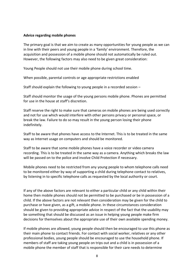#### **Advice regarding mobile phones**

The primary goal is that we aim to create as many opportunities for young people as we can in line with their peers and young people in a 'family' environment. Therefore, the acquisition and possession of a mobile phone should not automatically be ruled out. However, the following factors may also need to be given great consideration:

Young People should not use their mobile phone during school time.

When possible, parental controls or age appropriate restrictions enabled

Staff should explain the following to young people in a recorded session –

Staff should monitor the usage of the young persons mobile phone. Phones are permitted for use in the house at staff's discretion.

Staff reserve the right to make sure that cameras on mobile phones are being used correctly and not for use which would interfere with other persons privacy or personal space, or break the law. Failure to do so may result in the young person losing their phone indefinitely.

Staff to be aware that phones have access to the Internet. This is to be treated in the same way as Internet usage on computers and should be monitored.

Staff to be aware that some mobile phones have a voice recorder or video camera recording. This is to be treated in the same way as a camera. Anything which breaks the law will be passed on to the police and involve Child Protection if necessary.

Mobile phones need to be restricted from any young people to whom telephone calls need to be monitored either by way of supporting a child during telephone contact to relatives, by listening in to specific telephone calls as requested by the local authority or court.

If any of the above factors are relevant to either a particular child or any child within their home then mobile phones should not be permitted to be purchased or be in possession of a child. If the above factors are not relevant then consideration may be given for the child to purchase or have given, as a gift, a mobile phone. In these circumstances consideration should be given to providing appropriate advice in respect of the fact that the usability may be something that should be discussed as an issue in helping young people make firm decisions for themselves about the appropriate use of their own available spending money.

If mobile phones are allowed, young people should then be encouraged to use this phone as their main phone to contact friends. For contact with social worker, relatives or any other professional bodies, young people should be encouraged to use the household phone. If members of staff are taking young people on trips out and a child is in possession of a mobile phone the member of staff that is responsible for their care needs to determine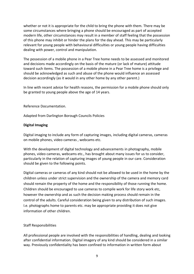whether or not it is appropriate for the child to bring the phone with them. There may be some circumstances where bringing a phone should be encouraged as part of accepted modern life, other circumstances may result in a member of staff feeling that the possession of this phone may inhibit or hinder the plans for the day ahead. This may be particularly relevant for young people with behavioural difficulties or young people having difficulties dealing with power, control and manipulation.

The possession of a mobile phone in a Pear Tree home needs to be assessed and monitored and decisions made accordingly on the basis of the mature (or lack of mature) attitude toward such items. The possession of a mobile phone in a Pear Tree home is a privilege and should be acknowledged as such and abuse of the phone would influence an assessed decision accordingly (as it would in any other home by any other parent.)

In line with recent advice for health reasons, the permission for a mobile phone should only be granted to young people above the age of 14 years.

Reference Documentation.

Adapted from Darlington Borough Councils Policies

# **Digital Imaging**

Digital imaging to include any form of capturing images, including digital cameras, cameras on mobile phones, video cameras , webcams etc.

With the development of digital technology and advancements in photography, mobile phones, video cameras, webcams etc., has brought about many issues for us to consider, particularly in the relation of capturing images of young people in our care. Consideration should be given to the following points.

Digital cameras or cameras of any kind should not be allowed to be used in the home by the children unless under strict supervision and the ownership of the camera and memory card should remain the property of the home and the responsibility of those running the home. Children should be encouraged to use cameras to compile work for life story work etc, however the ownership and as such the decision making process should remain in the control of the adults. Careful consideration being given to any distribution of such images. I.e. photographs home to parents etc. may be appropriate providing it does not give information of other children.

#### Staff Responsibilities

All professional people are involved with the responsibilities of handling, dealing and looking after confidential information. Digital imagery of any kind should be considered in a similar way. Previously confidentiality has been confined to information in written form about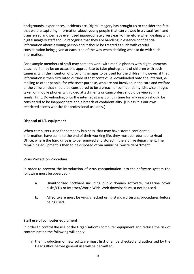backgrounds, experiences, incidents etc. Digital imagery has brought us to consider the fact that we are capturing information about young people that can viewed in a visual form and transferred and perhaps even used inappropriately very easily. Therefore when dealing with digital imagery staff should recognise that they are handling in essence confidential information about a young person and it should be treated as such with careful consideration being given at each step of the way when deciding what to do with such information.

For example members of staff may come to work with mobile phones with digital cameras attached, it may be on occasions appropriate to take photographs of children with such cameras with the intention of providing images to be used for the children, however, if that information is then circulated outside of that context i.e. downloaded onto the internet, emailing to other people, for whatever purpose, who are not involved in the care and welfare of the children that should be considered to be a breach of confidentiality. Likewise images taken on mobile phones with video attachments or camcorders should be viewed in a similar light. Downloading onto the internet at any point in time for any reason should be considered to be inappropriate and a breach of confidentiality. (Unless it is our own restricted access website for professional use only.)

# **Disposal of I.T. equipment**

When computers used for company business, that may have stored confidential information, have come to the end of their working life, they must be returned to Head Office, where the hard drive is to be removed and stored in the archive department. The remaining equipment is then to be disposed of via municipal waste department.

#### **Virus Protection Procedure**

In order to prevent the introduction of virus contamination into the software system the following must be observed:-

- a. Unauthorised software including public domain software, magazine cover disks/CDs or Internet/World Wide Web downloads must not be used.
- b. All software must be virus checked using standard testing procedures before being used.

#### **Staff use of computer equipment**

In order to control the use of the Organisation's computer equipment and reduce the risk of contamination the following will apply:

a) the introduction of new software must first of all be checked and authorised by the Head Office before general use will be permitted;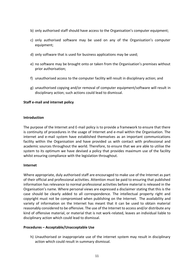- b) only authorised staff should have access to the Organisation's computer equipment;
- c) only authorised software may be used on any of the Organisation's computer equipment:
- d) only software that is used for business applications may be used;
- e) no software may be brought onto or taken from the Organisation's premises without prior authorisation;
- f) unauthorised access to the computer facility will result in disciplinary action; and
- g) unauthorised copying and/or removal of computer equipment/software will result in disciplinary action; such actions could lead to dismissal.

# **Staff e-mail and internet policy**

#### **Introduction**

The purpose of the Internet and E-mail policy is to provide a framework to ensure that there is continuity of procedures in the usage of Internet and e-mail within the Organisation. The internet and e-mail system have established themselves as an important communications facility within the Organisation and have provided us with contact with professional and academic sources throughout the world. Therefore, to ensure that we are able to utilise the system to its optimum we have devised a policy that provides maximum use of the facility whilst ensuring compliance with the legislation throughout.

#### **Internet**

Where appropriate, duly authorised staff are encouraged to make use of the Internet as part of their official and professional activities. Attention must be paid to ensuring that published information has relevance to normal professional activities before material is released in the Organisation's name. Where personal views are expressed a disclaimer stating that this is the case should be clearly added to all correspondence. The intellectual property right and copyright must not be compromised when publishing on the Internet. The availability and variety of information on the Internet has meant that it can be used to obtain material reasonably considered to be offensive. The use of the Internet to access and/or distribute any kind of offensive material, or material that is not work-related, leaves an individual liable to disciplinary action which could lead to dismissal.

#### **Procedures – Acceptable/Unacceptable Use**

h) Unauthorised or inappropriate use of the internet system may result in disciplinary action which could result in summary dismissal.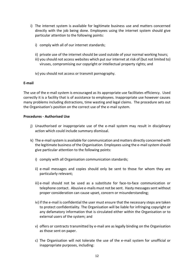- i) The internet system is available for legitimate business use and matters concerned directly with the job being done. Employees using the internet system should give particular attention to the following points:
	- i) comply with all of our internet standards;
	- ii) private use of the internet should be used outside of your normal working hours;
	- iii) you should not access websites which put our internet at risk of (but not limited to) viruses, compromising our copyright or intellectual property rights; and
	- iv) you should not access or transmit pornography.

# **E-mail**

The use of the e-mail system is encouraged as its appropriate use facilitates efficiency. Used correctly it is a facility that is of assistance to employees. Inappropriate use however causes many problems including distractions, time wasting and legal claims. The procedure sets out the Organisation's position on the correct use of the e-mail system.

#### **Procedures - Authorised Use**

- j) Unauthorised or inappropriate use of the e-mail system may result in disciplinary action which could include summary dismissal.
- k) The e-mail system is available for communication and matters directly concerned with the legitimate business of the Organisation. Employees using the e-mail system should give particular attention to the following points:
	- i) comply with all Organisation communication standards;
	- ii) e-mail messages and copies should only be sent to those for whom they are particularly relevant;
	- iii) e-mail should not be used as a substitute for face-to-face communication or telephone contact. Abusive e-mails must not be sent. Hasty messages sent without proper consideration can cause upset, concern or misunderstanding;
	- iv) if the e-mail is confidential the user must ensure that the necessary steps are taken to protect confidentiality. The Organisation will be liable for infringing copyright or any defamatory information that is circulated either within the Organisation or to external users of the system; and
	- v) offers or contracts transmitted by e-mail are as legally binding on the Organisation as those sent on paper.
	- c) The Organisation will not tolerate the use of the e-mail system for unofficial or inappropriate purposes, including: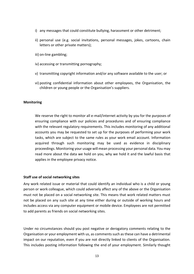- i) any messages that could constitute bullying, harassment or other detriment;
- ii) personal use (e.g. social invitations, personal messages, jokes, cartoons, chain letters or other private matters):
- iii) on-line gambling;
- iv) accessing or transmitting pornography;
- v) transmitting copyright information and/or any software available to the user; or
- vi) posting confidential information about other employees, the Organisation, the children or young people or the Organisation's suppliers.

#### **Monitoring**

We reserve the right to monitor all e-mail/internet activity by you for the purposes of ensuring compliance with our policies and procedures and of ensuring compliance with the relevant regulatory requirements. This includes monitoring of any additional accounts you may be requested to set up for the purposes of performing your work tasks, which are subject to the same rules as your work email account. Information acquired through such monitoring may be used as evidence in disciplinary proceedings. Monitoring your usage will mean processing your personal data. You may read more about the data we hold on you, why we hold it and the lawful basis that applies in the employee privacy notice.

#### **Staff use of social networking sites**

Any work related issue or material that could identify an individual who is a child or young person or work colleague, which could adversely affect any of the above or the Organisation must not be placed on a social networking site. This means that work related matters must not be placed on any such site at any time either during or outside of working hours and includes access via any computer equipment or mobile device. Employees are not permitted to add parents as friends on social networking sites.

Under no circumstances should you post negative or derogatory comments relating to the Organisation or your employment with us, as comments such as these can have a detrimental impact on our reputation, even if you are not directly linked to clients of the Organisation. This includes posting information following the end of your employment. Similarly thought